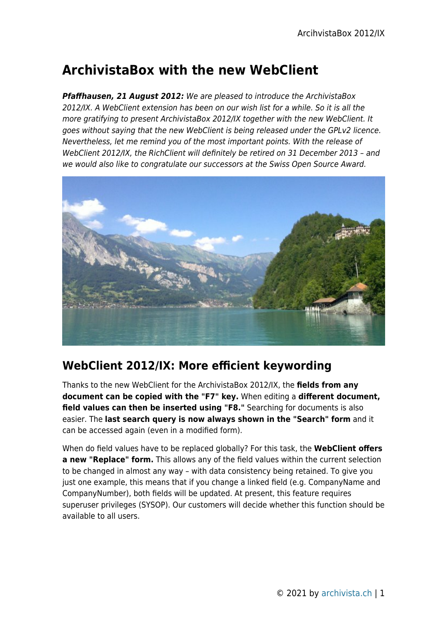# **ArchivistaBox with the new WebClient**

*Pfaffhausen, 21 August 2012:* We are pleased to introduce the ArchivistaBox 2012/IX. A WebClient extension has been on our wish list for a while. So it is all the more gratifying to present ArchivistaBox 2012/IX together with the new WebClient. It goes without saying that the new WebClient is being released under the GPLv2 licence. Nevertheless, let me remind you of the most important points. With the release of WebClient 2012/IX, the RichClient will definitely be retired on 31 December 2013 – and we would also like to congratulate our successors at the Swiss Open Source Award.



## **WebClient 2012/IX: More efficient keywording**

Thanks to the new WebClient for the ArchivistaBox 2012/IX, the **fields from any document can be copied with the "F7" key.** When editing a **different document, field values can then be inserted using "F8."** Searching for documents is also easier. The **last search query is now always shown in the "Search" form** and it can be accessed again (even in a modified form).

When do field values have to be replaced globally? For this task, the **WebClient offers a new "Replace" form.** This allows any of the field values within the current selection to be changed in almost any way – with data consistency being retained. To give you just one example, this means that if you change a linked field (e.g. CompanyName and CompanyNumber), both fields will be updated. At present, this feature requires superuser privileges (SYSOP). Our customers will decide whether this function should be available to all users.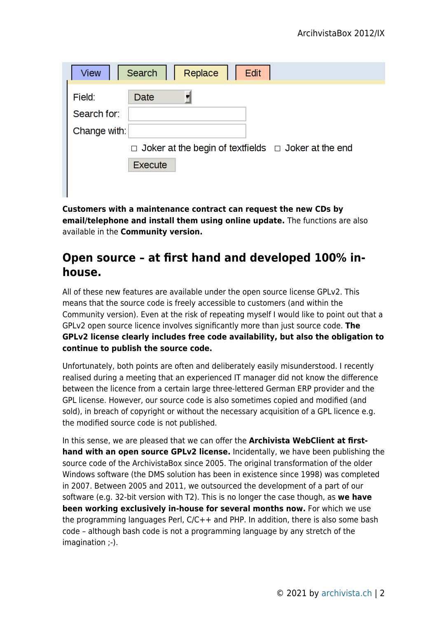| Replace<br><b>View</b><br>Search<br>Edit                        |  |  |  |  |  |  |  |  |  |
|-----------------------------------------------------------------|--|--|--|--|--|--|--|--|--|
| Field:<br>Date                                                  |  |  |  |  |  |  |  |  |  |
| Search for:                                                     |  |  |  |  |  |  |  |  |  |
| Change with:                                                    |  |  |  |  |  |  |  |  |  |
| $\Box$ Joker at the begin of textfields $\Box$ Joker at the end |  |  |  |  |  |  |  |  |  |
| Execute                                                         |  |  |  |  |  |  |  |  |  |
|                                                                 |  |  |  |  |  |  |  |  |  |

**Customers with a maintenance contract can request the new CDs by email/telephone and install them using online update.** The functions are also available in the **Community version.**

#### **Open source – at first hand and developed 100% inhouse.**

All of these new features are available under the open source license GPLv2. This means that the source code is freely accessible to customers (and within the Community version). Even at the risk of repeating myself I would like to point out that a GPLv2 open source licence involves significantly more than just source code. **The GPLv2 license clearly includes free code availability, but also the obligation to continue to publish the source code.**

Unfortunately, both points are often and deliberately easily misunderstood. I recently realised during a meeting that an experienced IT manager did not know the difference between the licence from a certain large three-lettered German ERP provider and the GPL license. However, our source code is also sometimes copied and modified (and sold), in breach of copyright or without the necessary acquisition of a GPL licence e.g. the modified source code is not published.

In this sense, we are pleased that we can offer the **Archivista WebClient at firsthand with an open source GPLv2 license.** Incidentally, we have been publishing the source code of the ArchivistaBox since 2005. The original transformation of the older Windows software (the DMS solution has been in existence since 1998) was completed in 2007. Between 2005 and 2011, we outsourced the development of a part of our software (e.g. 32-bit version with T2). This is no longer the case though, as **we have been working exclusively in-house for several months now.** For which we use the programming languages Perl, C/C++ and PHP. In addition, there is also some bash code – although bash code is not a programming language by any stretch of the imagination ;-).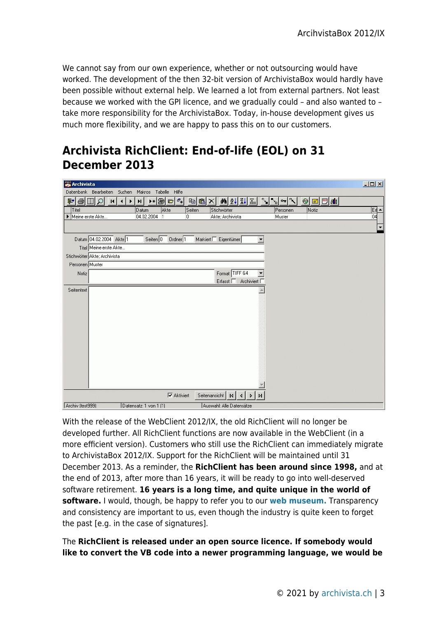We cannot say from our own experience, whether or not outsourcing would have worked. The development of the then 32-bit version of ArchivistaBox would hardly have been possible without external help. We learned a lot from external partners. Not least because we worked with the GPI licence, and we gradually could – and also wanted to – take more responsibility for the ArchivistaBox. Today, in-house development gives us much more flexibility, and we are happy to pass this on to our customers.

### **Archivista RichClient: End-of-life (EOL) on 31 December 2013**

| <b>Archivista</b> |                              |          |                        |                              |        |                                                                       |    |          |                                                            | $-10 \times$             |
|-------------------|------------------------------|----------|------------------------|------------------------------|--------|-----------------------------------------------------------------------|----|----------|------------------------------------------------------------|--------------------------|
|                   | Datenbank Bearbeiten         | Suchen   |                        | Makros Tabelle Hilfe         |        |                                                                       |    |          |                                                            |                          |
| 미위백               | H                            | $\lvert$ | ▸◉<br>H                | $\sigma_{\ast}$<br>$\bullet$ | hia X  | 44 2↓ 3↓ 至                                                            |    |          | $\equiv$ $\boxed{m}$ $\boxed{d}$ $\boxed{d}$<br>$\bigcirc$ |                          |
| Titel             |                              |          | Datum                  | Akte                         | Seiten | Stichwörter                                                           |    | Personen | Notiz                                                      | Erl ▲                    |
| Meine erste Akte  |                              |          | 04.02.2004             | $\vert$ 1                    | 0      | Akte; Archivista                                                      |    | Muster   |                                                            | 04                       |
|                   |                              |          |                        |                              |        |                                                                       |    |          |                                                            | $\overline{\phantom{a}}$ |
|                   | Datum 04.02.2004 Akte 1      |          | Seiten $\boxed{0}$     | $Order$ <sup>1</sup>         |        | $M$ arkiert $\Box$ Eigentümer                                         | T  |          |                                                            |                          |
|                   | Titel Meine erste Akte       |          |                        |                              |        |                                                                       |    |          |                                                            |                          |
|                   | Stichwörter Akte; Archivista |          |                        |                              |        |                                                                       |    |          |                                                            |                          |
| Personen Muster   |                              |          |                        |                              |        |                                                                       |    |          |                                                            |                          |
| Notiz             |                              |          |                        |                              |        | Format TIFF G4                                                        |    |          |                                                            |                          |
|                   |                              |          |                        |                              |        | Archiviert F<br>Erfasst $\Box$                                        |    |          |                                                            |                          |
| Seitentext        |                              |          |                        |                              |        |                                                                       |    |          |                                                            |                          |
|                   |                              |          |                        |                              |        |                                                                       |    |          |                                                            |                          |
|                   |                              |          |                        |                              |        |                                                                       |    |          |                                                            |                          |
|                   |                              |          |                        |                              |        |                                                                       |    |          |                                                            |                          |
|                   |                              |          |                        |                              |        |                                                                       |    |          |                                                            |                          |
|                   |                              |          |                        |                              |        |                                                                       |    |          |                                                            |                          |
|                   |                              |          |                        |                              |        |                                                                       |    |          |                                                            |                          |
|                   |                              |          |                        |                              |        |                                                                       |    |          |                                                            |                          |
|                   |                              |          |                        |                              |        |                                                                       |    |          |                                                            |                          |
|                   |                              |          |                        |                              |        |                                                                       |    |          |                                                            |                          |
|                   |                              |          |                        |                              |        |                                                                       |    |          |                                                            |                          |
|                   |                              |          |                        |                              |        |                                                                       |    |          |                                                            |                          |
|                   |                              |          |                        | $\nabla$ Aktiviert           |        | Seitenansicht<br> 4 <br>$\blacktriangleright$<br>$\blacktriangleleft$ | PI |          |                                                            |                          |
| Archiv (test999)  |                              |          | Datensatz: 1 von 1 (1) |                              |        | Auswahl: Alle Datensätze                                              |    |          |                                                            |                          |

With the release of the WebClient 2012/IX, the old RichClient will no longer be developed further. All RichClient functions are now available in the WebClient (in a more efficient version). Customers who still use the RichClient can immediately migrate to ArchivistaBox 2012/IX. Support for the RichClient will be maintained until 31 December 2013. As a reminder, the **RichClient has been around since 1998,** and at the end of 2013, after more than 16 years, it will be ready to go into well-deserved software retirement. **16 years is a long time, and quite unique in the world of software.** I would, though, be happy to refer you to our **[web museum.](http://www.archivista.ch/1998_10/index.htm)** Transparency and consistency are important to us, even though the industry is quite keen to forget the past [e.g. in the case of signatures].

The **RichClient is released under an open source licence. If somebody would like to convert the VB code into a newer programming language, we would be**